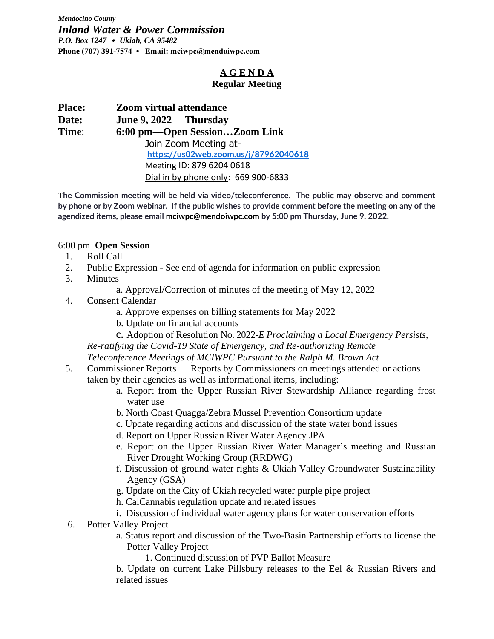*Mendocino County Inland Water & Power Commission P.O. Box 1247 • Ukiah, CA 95482* **Phone (707) 391-7574 • Email: mciwpc@mendoiwpc.com**

#### **A G E N D A Regular Meeting**

| <b>Place:</b>                          | <b>Zoom virtual attendance</b>                                 |  |  |  |
|----------------------------------------|----------------------------------------------------------------|--|--|--|
| Date:                                  | June 9, 2022 Thursday                                          |  |  |  |
| 6:00 pm—Open SessionZoom Link<br>Time: |                                                                |  |  |  |
|                                        | Join Zoom Meeting at-<br>https://us02web.zoom.us/j/87962040618 |  |  |  |
|                                        |                                                                |  |  |  |
|                                        | Meeting ID: 879 6204 0618                                      |  |  |  |
|                                        | Dial in by phone only: 669 900-6833                            |  |  |  |

T**he Commission meeting will be held via video/teleconference. The public may observe and comment by phone or by Zoom webinar. If the public wishes to provide comment before the meeting on any of the agendized items, please emai[l mciwpc@mendoiwpc.com](mailto:mciwpc@mendoiwpc.com) by 5:00 pm Thursday, June 9, 2022.**

#### 6:00 pm **Open Session**

- 1. Roll Call
- 2. Public Expression See end of agenda for information on public expression
- 3. Minutes
	- a. Approval/Correction of minutes of the meeting of May 12, 2022
- 4. Consent Calendar
	- a. Approve expenses on billing statements for May 2022
	- b. Update on financial accounts

c. Adoption of Resolution No. 2022-*E Proclaiming a Local Emergency Persists, Re-ratifying the Covid-19 State of Emergency, and Re-authorizing Remote Teleconference Meetings of MCIWPC Pursuant to the Ralph M. Brown Act*

- 5. Commissioner Reports Reports by Commissioners on meetings attended or actions taken by their agencies as well as informational items, including:
	- a. Report from the Upper Russian River Stewardship Alliance regarding frost water use
	- b. North Coast Quagga/Zebra Mussel Prevention Consortium update
	- c. Update regarding actions and discussion of the state water bond issues
	- d. Report on Upper Russian River Water Agency JPA
	- e. Report on the Upper Russian River Water Manager's meeting and Russian River Drought Working Group (RRDWG)
	- f. Discussion of ground water rights & Ukiah Valley Groundwater Sustainability Agency (GSA)
	- g. Update on the City of Ukiah recycled water purple pipe project
	- h. CalCannabis regulation update and related issues
	- i. Discussion of individual water agency plans for water conservation efforts
- 6. Potter Valley Project
	- a. Status report and discussion of the Two-Basin Partnership efforts to license the Potter Valley Project
		- 1. Continued discussion of PVP Ballot Measure
	- b. Update on current Lake Pillsbury releases to the Eel & Russian Rivers and related issues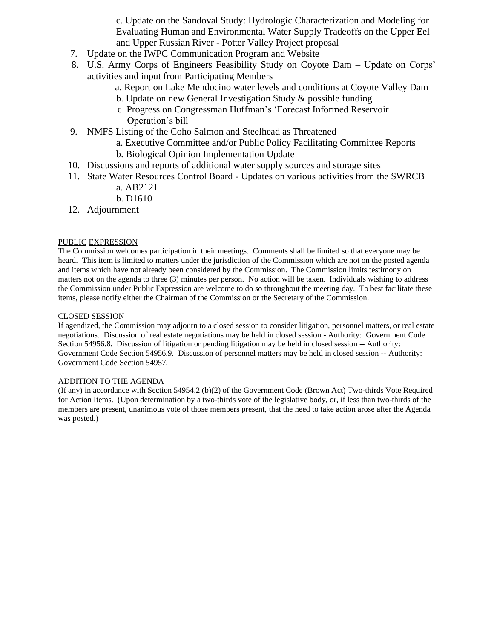c. Update on the Sandoval Study: Hydrologic Characterization and Modeling for Evaluating Human and Environmental Water Supply Tradeoffs on the Upper Eel and Upper Russian River - Potter Valley Project proposal

- 7. Update on the IWPC Communication Program and Website
- 8. U.S. Army Corps of Engineers Feasibility Study on Coyote Dam Update on Corps' activities and input from Participating Members
	- a. Report on Lake Mendocino water levels and conditions at Coyote Valley Dam
	- b. Update on new General Investigation Study & possible funding
	- c. Progress on Congressman Huffman's 'Forecast Informed Reservoir Operation's bill
- 9. NMFS Listing of the Coho Salmon and Steelhead as Threatened
	- a. Executive Committee and/or Public Policy Facilitating Committee Reports
		- b. Biological Opinion Implementation Update
- 10. Discussions and reports of additional water supply sources and storage sites
- 11. State Water Resources Control Board Updates on various activities from the SWRCB a. AB2121
	- b. D1610
- 12. Adjournment

#### PUBLIC EXPRESSION

The Commission welcomes participation in their meetings. Comments shall be limited so that everyone may be heard. This item is limited to matters under the jurisdiction of the Commission which are not on the posted agenda and items which have not already been considered by the Commission. The Commission limits testimony on matters not on the agenda to three (3) minutes per person. No action will be taken. Individuals wishing to address the Commission under Public Expression are welcome to do so throughout the meeting day. To best facilitate these items, please notify either the Chairman of the Commission or the Secretary of the Commission.

#### CLOSED SESSION

If agendized, the Commission may adjourn to a closed session to consider litigation, personnel matters, or real estate negotiations. Discussion of real estate negotiations may be held in closed session - Authority: Government Code Section 54956.8. Discussion of litigation or pending litigation may be held in closed session -- Authority: Government Code Section 54956.9. Discussion of personnel matters may be held in closed session -- Authority: Government Code Section 54957.

#### ADDITION TO THE AGENDA

(If any) in accordance with Section 54954.2 (b)(2) of the Government Code (Brown Act) Two-thirds Vote Required for Action Items. (Upon determination by a two-thirds vote of the legislative body, or, if less than two-thirds of the members are present, unanimous vote of those members present, that the need to take action arose after the Agenda was posted.)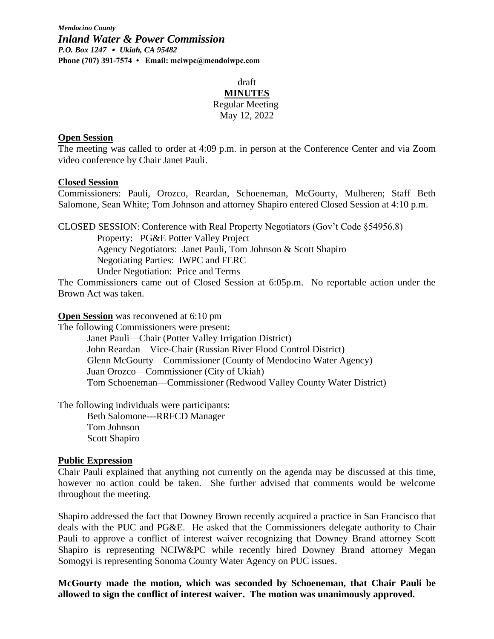*Mendocino County Inland Water & Power Commission P.O. Box 1247 • Ukiah, CA 95482* **Phone (707) 391-7574 • Email: mciwpc@mendoiwpc.com** 

#### draft **MINUTES** Regular Meeting May 12, 2022

#### **Open Session**

The meeting was called to order at 4:09 p.m. in person at the Conference Center and via Zoom video conference by Chair Janet Pauli.

#### **Closed Session**

Commissioners: Pauli, Orozco, Reardan, Schoeneman, McGourty, Mulheren; Staff Beth Salomone, Sean White; Tom Johnson and attorney Shapiro entered Closed Session at 4:10 p.m.

CLOSED SESSION: Conference with Real Property Negotiators (Gov't Code §54956.8) Property: PG&E Potter Valley Project Agency Negotiators: Janet Pauli, Tom Johnson & Scott Shapiro Negotiating Parties: IWPC and FERC Under Negotiation: Price and Terms

The Commissioners came out of Closed Session at 6:05p.m. No reportable action under the Brown Act was taken.

**Open Session** was reconvened at 6:10 pm

The following Commissioners were present:

Janet Pauli—Chair (Potter Valley Irrigation District) John Reardan—Vice-Chair (Russian River Flood Control District) Glenn McGourty—Commissioner (County of Mendocino Water Agency) Juan Orozco—Commissioner (City of Ukiah) Tom Schoeneman—Commissioner (Redwood Valley County Water District)

The following individuals were participants:

Beth Salomone---RRFCD Manager Tom Johnson Scott Shapiro

#### **Public Expression**

Chair Pauli explained that anything not currently on the agenda may be discussed at this time, however no action could be taken. She further advised that comments would be welcome throughout the meeting.

Shapiro addressed the fact that Downey Brown recently acquired a practice in San Francisco that deals with the PUC and PG&E. He asked that the Commissioners delegate authority to Chair Pauli to approve a conflict of interest waiver recognizing that Downey Brand attorney Scott Shapiro is representing NCIW&PC while recently hired Downey Brand attorney Megan Somogyi is representing Sonoma County Water Agency on PUC issues.

**McGourty made the motion, which was seconded by Schoeneman, that Chair Pauli be allowed to sign the conflict of interest waiver. The motion was unanimously approved.**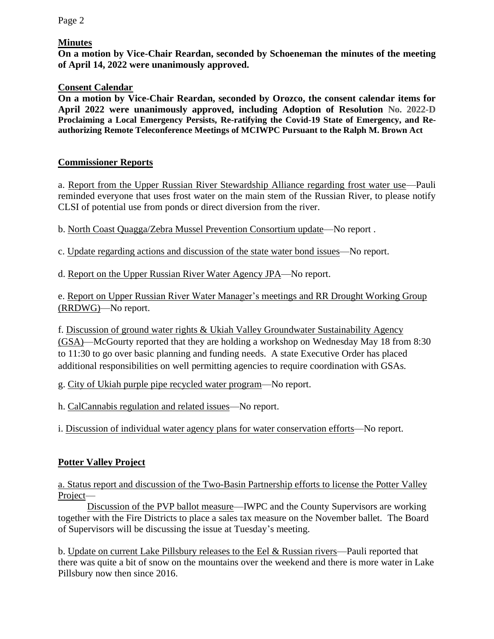Page 2

#### **Minutes**

**On a motion by Vice-Chair Reardan, seconded by Schoeneman the minutes of the meeting of April 14, 2022 were unanimously approved.** 

#### **Consent Calendar**

**On a motion by Vice-Chair Reardan, seconded by Orozco, the consent calendar items for April 2022 were unanimously approved, including Adoption of Resolution No. 2022-D Proclaiming a Local Emergency Persists, Re-ratifying the Covid-19 State of Emergency, and Reauthorizing Remote Teleconference Meetings of MCIWPC Pursuant to the Ralph M. Brown Act**

#### **Commissioner Reports**

a. Report from the Upper Russian River Stewardship Alliance regarding frost water use—Pauli reminded everyone that uses frost water on the main stem of the Russian River, to please notify CLSI of potential use from ponds or direct diversion from the river.

b. North Coast Quagga/Zebra Mussel Prevention Consortium update—No report .

c. Update regarding actions and discussion of the state water bond issues—No report.

d. Report on the Upper Russian River Water Agency JPA—No report.

e. Report on Upper Russian River Water Manager's meetings and RR Drought Working Group (RRDWG)—No report.

f. Discussion of ground water rights & Ukiah Valley Groundwater Sustainability Agency (GSA)—McGourty reported that they are holding a workshop on Wednesday May 18 from 8:30 to 11:30 to go over basic planning and funding needs. A state Executive Order has placed additional responsibilities on well permitting agencies to require coordination with GSAs.

g. City of Ukiah purple pipe recycled water program—No report.

h. CalCannabis regulation and related issues—No report.

i. Discussion of individual water agency plans for water conservation efforts—No report.

## **Potter Valley Project**

a. Status report and discussion of the Two-Basin Partnership efforts to license the Potter Valley Project—

Discussion of the PVP ballot measure—IWPC and the County Supervisors are working together with the Fire Districts to place a sales tax measure on the November ballet. The Board of Supervisors will be discussing the issue at Tuesday's meeting.

b. Update on current Lake Pillsbury releases to the Eel & Russian rivers—Pauli reported that there was quite a bit of snow on the mountains over the weekend and there is more water in Lake Pillsbury now then since 2016.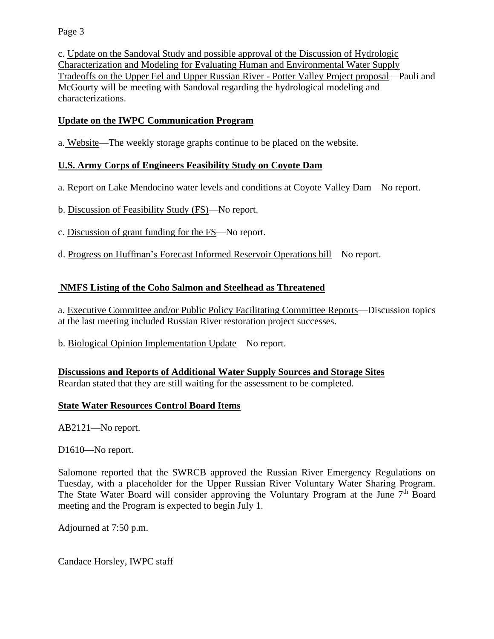Page 3

c. Update on the Sandoval Study and possible approval of the Discussion of Hydrologic Characterization and Modeling for Evaluating Human and Environmental Water Supply Tradeoffs on the Upper Eel and Upper Russian River - Potter Valley Project proposal—Pauli and McGourty will be meeting with Sandoval regarding the hydrological modeling and characterizations.

### **Update on the IWPC Communication Program**

a. Website—The weekly storage graphs continue to be placed on the website.

### **U.S. Army Corps of Engineers Feasibility Study on Coyote Dam**

a. Report on Lake Mendocino water levels and conditions at Coyote Valley Dam—No report.

- b. Discussion of Feasibility Study (FS)—No report.
- c. Discussion of grant funding for the FS—No report.
- d. Progress on Huffman's Forecast Informed Reservoir Operations bill—No report.

### **NMFS Listing of the Coho Salmon and Steelhead as Threatened**

a. Executive Committee and/or Public Policy Facilitating Committee Reports—Discussion topics at the last meeting included Russian River restoration project successes.

b. Biological Opinion Implementation Update—No report.

#### **Discussions and Reports of Additional Water Supply Sources and Storage Sites**

Reardan stated that they are still waiting for the assessment to be completed.

#### **State Water Resources Control Board Items**

AB2121—No report.

D1610—No report.

Salomone reported that the SWRCB approved the Russian River Emergency Regulations on Tuesday, with a placeholder for the Upper Russian River Voluntary Water Sharing Program. The State Water Board will consider approving the Voluntary Program at the June  $7<sup>th</sup>$  Board meeting and the Program is expected to begin July 1.

Adjourned at 7:50 p.m.

Candace Horsley, IWPC staff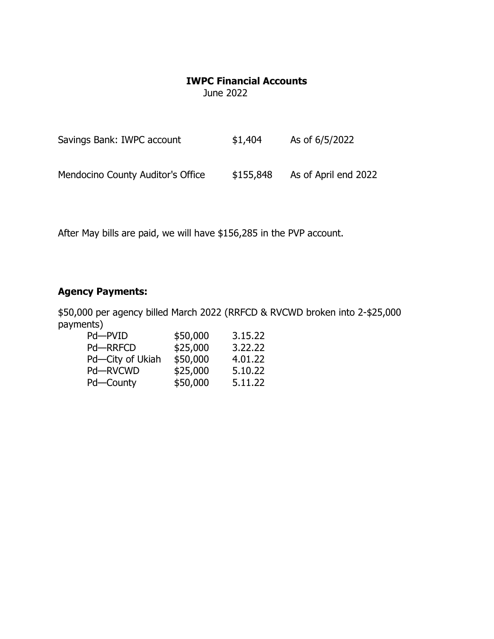## **IWPC Financial Accounts**

June 2022

| Savings Bank: IWPC account        | \$1,404   | As of 6/5/2022       |
|-----------------------------------|-----------|----------------------|
| Mendocino County Auditor's Office | \$155,848 | As of April end 2022 |

After May bills are paid, we will have \$156,285 in the PVP account.

# **Agency Payments:**

\$50,000 per agency billed March 2022 (RRFCD & RVCWD broken into 2-\$25,000 payments)

| Pd-PVID          | \$50,000 | 3.15.22 |
|------------------|----------|---------|
| <b>Pd-RRFCD</b>  | \$25,000 | 3.22.22 |
| Pd-City of Ukiah | \$50,000 | 4.01.22 |
| Pd-RVCWD         | \$25,000 | 5.10.22 |
| Pd-County        | \$50,000 | 5.11.22 |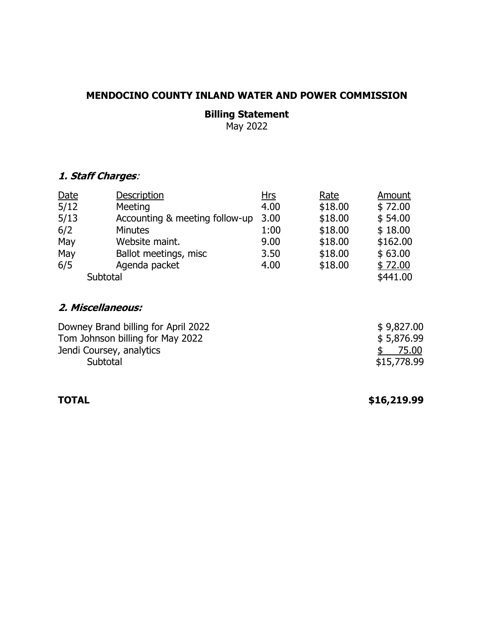## **MENDOCINO COUNTY INLAND WATER AND POWER COMMISSION**

# **Billing Statement**

May 2022

## **1. Staff Charges**:

| Date     | <b>Description</b>             | <u>Hrs</u> | Rate    | Amount   |
|----------|--------------------------------|------------|---------|----------|
| 5/12     | Meeting                        | 4.00       | \$18.00 | \$72.00  |
| 5/13     | Accounting & meeting follow-up | 3.00       | \$18.00 | \$54.00  |
| 6/2      | <b>Minutes</b>                 | 1:00       | \$18.00 | \$18.00  |
| May      | Website maint.                 | 9.00       | \$18.00 | \$162.00 |
| May      | Ballot meetings, misc          | 3.50       | \$18.00 | \$63.00  |
| 6/5      | Agenda packet                  | 4.00       | \$18.00 | \$72.00  |
| Subtotal |                                |            |         | \$441.00 |

## **2. Miscellaneous:**

| Downey Brand billing for April 2022 | \$9,827.00  |
|-------------------------------------|-------------|
| Tom Johnson billing for May 2022    | \$5,876.99  |
| Jendi Coursey, analytics            | \$75.00     |
| Subtotal                            | \$15,778.99 |

**TOTAL \$16,219.99**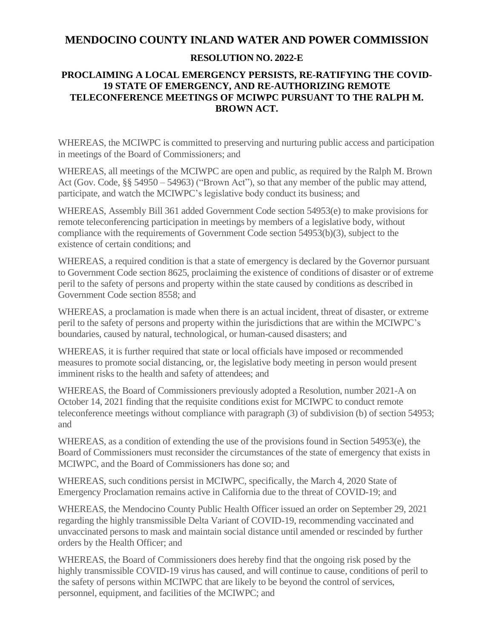## **MENDOCINO COUNTY INLAND WATER AND POWER COMMISSION**

### **RESOLUTION NO. 2022-E**

#### **PROCLAIMING A LOCAL EMERGENCY PERSISTS, RE-RATIFYING THE COVID-19 STATE OF EMERGENCY, AND RE-AUTHORIZING REMOTE TELECONFERENCE MEETINGS OF MCIWPC PURSUANT TO THE RALPH M. BROWN ACT.**

WHEREAS, the MCIWPC is committed to preserving and nurturing public access and participation in meetings of the Board of Commissioners; and

WHEREAS, all meetings of the MCIWPC are open and public, as required by the Ralph M. Brown Act (Gov. Code, §§ 54950 – 54963) ("Brown Act"), so that any member of the public may attend, participate, and watch the MCIWPC's legislative body conduct its business; and

WHEREAS, Assembly Bill 361 added Government Code section 54953(e) to make provisions for remote teleconferencing participation in meetings by members of a legislative body, without compliance with the requirements of Government Code section 54953(b)(3), subject to the existence of certain conditions; and

WHEREAS, a required condition is that a state of emergency is declared by the Governor pursuant to Government Code section 8625, proclaiming the existence of conditions of disaster or of extreme peril to the safety of persons and property within the state caused by conditions as described in Government Code section 8558; and

WHEREAS, a proclamation is made when there is an actual incident, threat of disaster, or extreme peril to the safety of persons and property within the jurisdictions that are within the MCIWPC's boundaries, caused by natural, technological, or human-caused disasters; and

WHEREAS, it is further required that state or local officials have imposed or recommended measures to promote social distancing, or, the legislative body meeting in person would present imminent risks to the health and safety of attendees; and

WHEREAS, the Board of Commissioners previously adopted a Resolution, number 2021-A on October 14, 2021 finding that the requisite conditions exist for MCIWPC to conduct remote teleconference meetings without compliance with paragraph (3) of subdivision (b) of section 54953; and

WHEREAS, as a condition of extending the use of the provisions found in Section 54953(e), the Board of Commissioners must reconsider the circumstances of the state of emergency that exists in MCIWPC, and the Board of Commissioners has done so; and

WHEREAS, such conditions persist in MCIWPC, specifically, the March 4, 2020 State of Emergency Proclamation remains active in California due to the threat of COVID-19; and

WHEREAS, the Mendocino County Public Health Officer issued an order on September 29, 2021 regarding the highly transmissible Delta Variant of COVID-19, recommending vaccinated and unvaccinated persons to mask and maintain social distance until amended or rescinded by further orders by the Health Officer; and

WHEREAS, the Board of Commissioners does hereby find that the ongoing risk posed by the highly transmissible COVID-19 virus has caused, and will continue to cause, conditions of peril to the safety of persons within MCIWPC that are likely to be beyond the control of services, personnel, equipment, and facilities of the MCIWPC; and